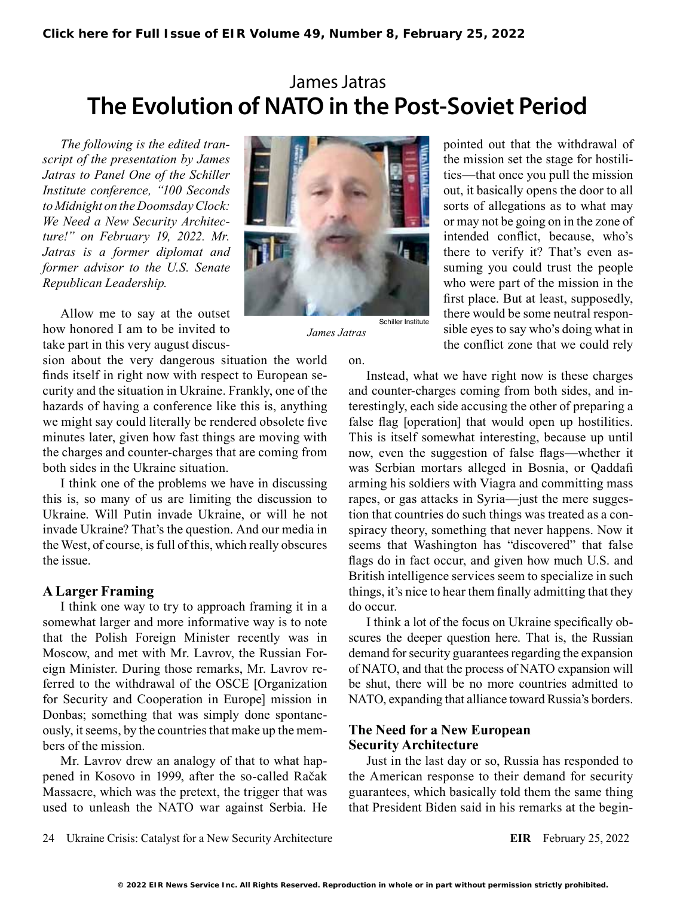# James Jatras **The Evolution of NATO in the Post-Soviet Period**

*The following is the edited transcript of the presentation by James Jatras to Panel One of the Schiller Institute conference, "100 Seconds to Midnight on the Doomsday Clock: We Need a New Security Architecture!" on February 19, 2022. Mr. Jatras is a former diplomat and former advisor to the U.S. Senate Republican Leadership.*

Allow me to say at the outset how honored I am to be invited to take part in this very august discus-

sion about the very dangerous situation the world finds itself in right now with respect to European security and the situation in Ukraine. Frankly, one of the hazards of having a conference like this is, anything we might say could literally be rendered obsolete five minutes later, given how fast things are moving with the charges and counter-charges that are coming from both sides in the Ukraine situation.

I think one of the problems we have in discussing this is, so many of us are limiting the discussion to Ukraine. Will Putin invade Ukraine, or will he not invade Ukraine? That's the question. And our media in the West, of course, is full of this, which really obscures the issue.

## **A Larger Framing**

I think one way to try to approach framing it in a somewhat larger and more informative way is to note that the Polish Foreign Minister recently was in Moscow, and met with Mr. Lavrov, the Russian Foreign Minister. During those remarks, Mr. Lavrov referred to the withdrawal of the OSCE [Organization for Security and Cooperation in Europe] mission in Donbas; something that was simply done spontaneously, it seems, by the countries that make up the members of the mission.

Mr. Lavrov drew an analogy of that to what happened in Kosovo in 1999, after the so-called Račak Massacre, which was the pretext, the trigger that was used to unleash the NATO war against Serbia. He



*James Jatras*

pointed out that the withdrawal of the mission set the stage for hostilities—that once you pull the mission out, it basically opens the door to all sorts of allegations as to what may or may not be going on in the zone of intended conflict, because, who's there to verify it? That's even assuming you could trust the people who were part of the mission in the first place. But at least, supposedly, there would be some neutral responsible eyes to say who's doing what in the conflict zone that we could rely

on.

Instead, what we have right now is these charges and counter-charges coming from both sides, and interestingly, each side accusing the other of preparing a false flag [operation] that would open up hostilities. This is itself somewhat interesting, because up until now, even the suggestion of false flags—whether it was Serbian mortars alleged in Bosnia, or Qaddafi arming his soldiers with Viagra and committing mass rapes, or gas attacks in Syria—just the mere suggestion that countries do such things was treated as a conspiracy theory, something that never happens. Now it seems that Washington has "discovered" that false flags do in fact occur, and given how much U.S. and British intelligence services seem to specialize in such things, it's nice to hear them finally admitting that they do occur.

I think a lot of the focus on Ukraine specifically obscures the deeper question here. That is, the Russian demand for security guarantees regarding the expansion of NATO, and that the process of NATO expansion will be shut, there will be no more countries admitted to NATO, expanding that alliance toward Russia's borders.

#### **The Need for a New European Security Architecture**

Just in the last day or so, Russia has responded to the American response to their demand for security guarantees, which basically told them the same thing that President Biden said in his remarks at the begin-

24 Ukraine Crisis: Catalyst for a New Security Architecture **EIR** February 25, 2022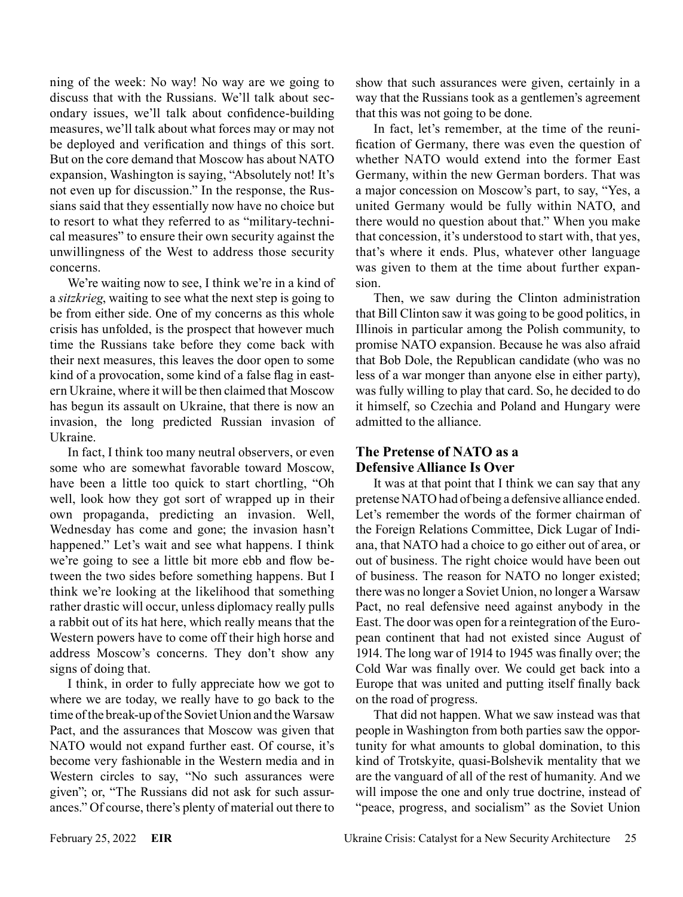ning of the week: No way! No way are we going to discuss that with the Russians. We'll talk about secondary issues, we'll talk about confidence-building measures, we'll talk about what forces may or may not be deployed and verification and things of this sort. But on the core demand that Moscow has about NATO expansion, Washington is saying, "Absolutely not! It's not even up for discussion." In the response, the Russians said that they essentially now have no choice but to resort to what they referred to as "military-technical measures" to ensure their own security against the unwillingness of the West to address those security concerns.

We're waiting now to see, I think we're in a kind of a *sitzkrieg*, waiting to see what the next step is going to be from either side. One of my concerns as this whole crisis has unfolded, is the prospect that however much time the Russians take before they come back with their next measures, this leaves the door open to some kind of a provocation, some kind of a false flag in eastern Ukraine, where it will be then claimed that Moscow has begun its assault on Ukraine, that there is now an invasion, the long predicted Russian invasion of Ukraine.

In fact, I think too many neutral observers, or even some who are somewhat favorable toward Moscow, have been a little too quick to start chortling, "Oh well, look how they got sort of wrapped up in their own propaganda, predicting an invasion. Well, Wednesday has come and gone; the invasion hasn't happened." Let's wait and see what happens. I think we're going to see a little bit more ebb and flow between the two sides before something happens. But I think we're looking at the likelihood that something rather drastic will occur, unless diplomacy really pulls a rabbit out of its hat here, which really means that the Western powers have to come off their high horse and address Moscow's concerns. They don't show any signs of doing that.

I think, in order to fully appreciate how we got to where we are today, we really have to go back to the time of the break-up of the Soviet Union and the Warsaw Pact, and the assurances that Moscow was given that NATO would not expand further east. Of course, it's become very fashionable in the Western media and in Western circles to say, "No such assurances were given"; or, "The Russians did not ask for such assurances." Of course, there's plenty of material out there to show that such assurances were given, certainly in a way that the Russians took as a gentlemen's agreement that this was not going to be done.

In fact, let's remember, at the time of the reunification of Germany, there was even the question of whether NATO would extend into the former East Germany, within the new German borders. That was a major concession on Moscow's part, to say, "Yes, a united Germany would be fully within NATO, and there would no question about that." When you make that concession, it's understood to start with, that yes, that's where it ends. Plus, whatever other language was given to them at the time about further expansion.

Then, we saw during the Clinton administration that Bill Clinton saw it was going to be good politics, in Illinois in particular among the Polish community, to promise NATO expansion. Because he was also afraid that Bob Dole, the Republican candidate (who was no less of a war monger than anyone else in either party), was fully willing to play that card. So, he decided to do it himself, so Czechia and Poland and Hungary were admitted to the alliance.

### **The Pretense of NATO as a Defensive Alliance Is Over**

It was at that point that I think we can say that any pretense NATO had of being a defensive alliance ended. Let's remember the words of the former chairman of the Foreign Relations Committee, Dick Lugar of Indiana, that NATO had a choice to go either out of area, or out of business. The right choice would have been out of business. The reason for NATO no longer existed; there was no longer a Soviet Union, no longer a Warsaw Pact, no real defensive need against anybody in the East. The door was open for a reintegration of the European continent that had not existed since August of 1914. The long war of 1914 to 1945 was finally over; the Cold War was finally over. We could get back into a Europe that was united and putting itself finally back on the road of progress.

That did not happen. What we saw instead was that people in Washington from both parties saw the opportunity for what amounts to global domination, to this kind of Trotskyite, quasi-Bolshevik mentality that we are the vanguard of all of the rest of humanity. And we will impose the one and only true doctrine, instead of "peace, progress, and socialism" as the Soviet Union